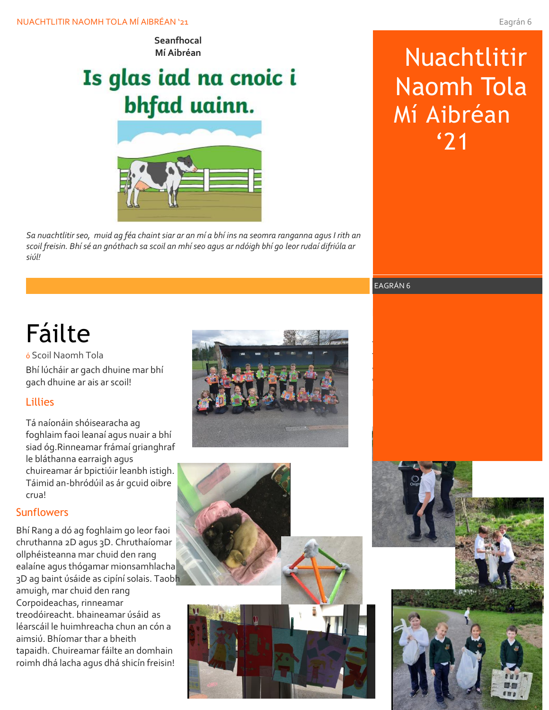**Seanfhocal Mí Aibréan**

# Is glas iad na cnoic i bhfad uainn.



*Sa nuachtlitir seo, muid ag féa chaint siar ar an mí a bhí ins na seomra ranganna agus I rith an scoil freisin. Bhí sé an gnóthach sa scoil an mhí seo agus ar ndóigh bhí go leor rudaí difriúla ar siúl!*

# Nuachtlitir Naomh Tola Mí Aibréan '21

EAGRÁN 6

# Fáilte

Bhí lúcháir ar gach dhuine mar bhí gach dhuine ar ais ar scoil! ó Scoil Naomh Tola

## Lillies

Tá naíonáin shóisearacha ag foghlaim faoi leanaí agus nuair a bhí siad óg.Rinneamar frámaí grianghraf le bláthanna earraigh agus chuireamar ár bpictiúir leanbh istigh. Táimid an-bhródúil as ár gcuid oibre crua!

# **Sunflowers**

Bhí Rang a dó ag foghlaim go leor faoi chruthanna 2D agus 3D. Chruthaíomar ollphéisteanna mar chuid den rang ealaíne agus thógamar mionsamhlacha 3D ag baint úsáide as cipíní solais. Taobh amuigh, mar chuid den rang Corpoideachas, rinneamar treodóireacht. bhaineamar úsáid as léarscáil le huimhreacha chun an cón a aimsiú. Bhíomar thar a bheith tapaidh. Chuireamar fáilte an domhain roimh dhá lacha agus dhá shicín freisin!





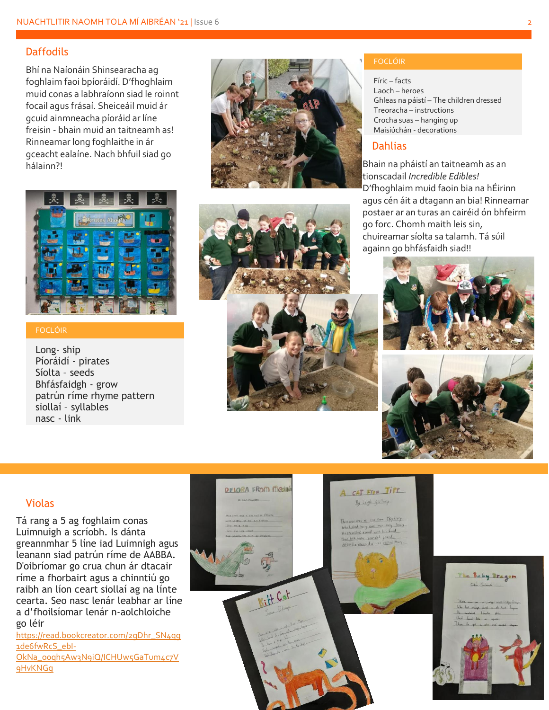## **Daffodils**

Bhí na Naíonáin Shinsearacha ag foghlaim faoi bpíoráidí. D'fhoghlaim muid conas a labhraíonn siad le roinnt focail agus frásaí. Sheiceáil muid ár gcuid ainmneacha píoráid ar líne freisin - bhain muid an taitneamh as! Rinneamar long foghlaithe in ár gceacht ealaíne. Nach bhfuil siad go hálainn?!



#### FOCLÓIR

Long- ship Píoráidí - pirates Síolta – seeds Bhfásfaidgh - grow patrún ríme rhyme pattern siollaí – syllables nasc - link





#### FOCLÓIR

Fíric – facts Laoch – heroes Ghleas na páistí – The children dressed Treoracha – instructions Crocha suas – hanging up Maisiúchán - decorations

#### **Dahlias**

Bhain na pháistí an taitneamh as an tionscadail *Incredible Edibles!*  D'fhoghlaim muid faoin bia na hÉirinn agus cén áit a dtagann an bia! Rinneamar postaer ar an turas an cairéid ón bhfeirm go forc. Chomh maith leis sin, chuireamar síolta sa talamh. Tá súil againn go bhfásfaidh siad!!





#### Violas

Tá rang a 5 ag foghlaim conas Luimnuigh a scríobh. Is dánta greannmhar 5 líne iad Luimnigh agus leanann siad patrún ríme de AABBA. D'oibríomar go crua chun ár dtacair ríme a fhorbairt agus a chinntiú go raibh an líon ceart siollaí ag na línte cearta. Seo nasc lenár leabhar ar líne a d'fhoilsíomar lenár n-aolchloiche go léir

[https://read.bookcreator.com/2gDhr\\_SN4qg](https://read.bookcreator.com/2gDhr_SN4qg1de6fwRcS_ebI-OkNa_o0qh5Aw3N9iQ/ICHUw5GaTum4c7V9HvKNGg) [1de6fwRcS\\_ebI-](https://read.bookcreator.com/2gDhr_SN4qg1de6fwRcS_ebI-OkNa_o0qh5Aw3N9iQ/ICHUw5GaTum4c7V9HvKNGg)[OkNa\\_o0qh5Aw3N9iQ/ICHUw5GaTum4c7V](https://read.bookcreator.com/2gDhr_SN4qg1de6fwRcS_ebI-OkNa_o0qh5Aw3N9iQ/ICHUw5GaTum4c7V9HvKNGg) [9HvKNGg](https://read.bookcreator.com/2gDhr_SN4qg1de6fwRcS_ebI-OkNa_o0qh5Aw3N9iQ/ICHUw5GaTum4c7V9HvKNGg)



Baby Pragon

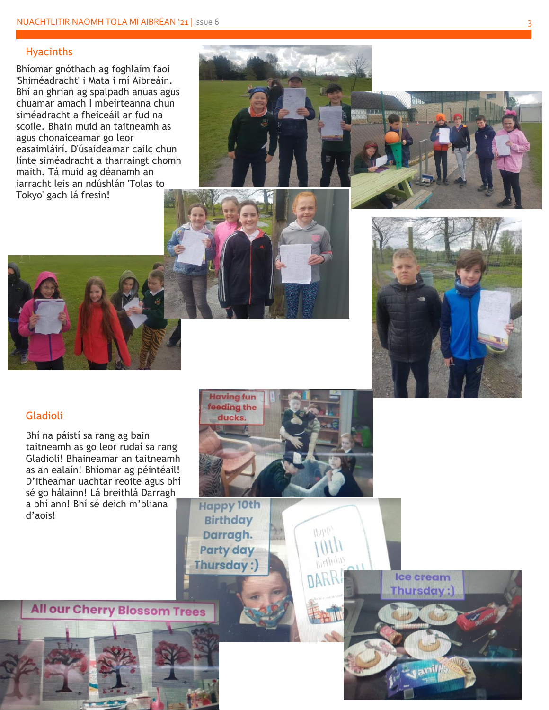## Hyacinths

Bhíomar gnóthach ag foghlaim faoi 'Shiméadracht' i Mata i mí Aibreáin. Bhí an ghrian ag spalpadh anuas agus chuamar amach I mbeirteanna chun siméadracht a fheiceáil ar fud na scoile. Bhain muid an taitneamh as agus chonaiceamar go leor easaimláirí. D'úsaideamar cailc chun línte siméadracht a tharraingt chomh maith. Tá muid ag déanamh an iarracht leis an ndúshlán 'Tolas to Tokyo' gach lá fresin !







# Gladioli

Bhí na páistí sa rang ag bain taitneamh as go leor rudaí sa rang Gladioli! Bhaineamar an taitneamh as an ealaín! Bhíomar ag péintéail! D'itheamar uachtar reoite agus bhí sé go hálainn! Lá breithlá Darragh a bhí ann! Bhí sé deich m 'bliana d 'aois!



 $\eta_{kll}$ 

**Happy 10th Birthday** Darragh. **Party day** Thursday:

**All our Cherry Blossom Trees**